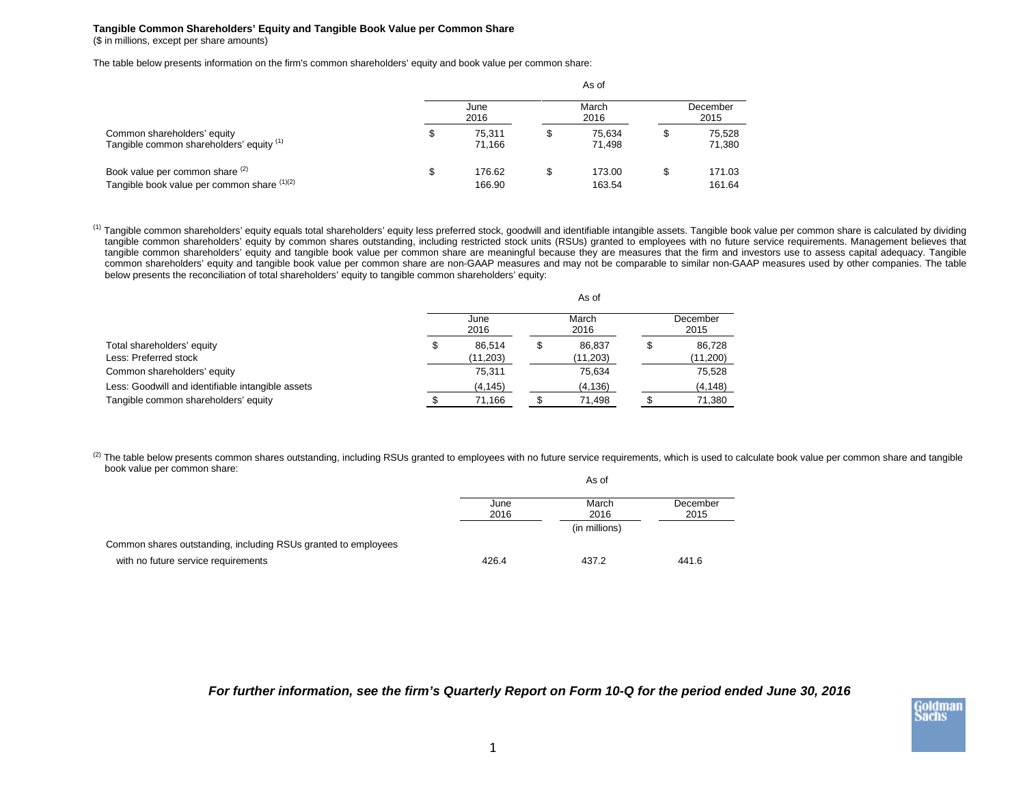## **Tangible Common Shareholders' Equity and Tangible Book Value per Common Share** (\$ in millions, except per share amounts)

The table below presents information on the firm's common shareholders' equity and book value per common share:

|                                                                                | As of        |                  |               |                  |                  |                  |  |
|--------------------------------------------------------------------------------|--------------|------------------|---------------|------------------|------------------|------------------|--|
|                                                                                | June<br>2016 |                  | March<br>2016 |                  | December<br>2015 |                  |  |
| Common shareholders' equity<br>Tangible common shareholders' equity (1)        | \$           | 75.311<br>71.166 | S             | 75.634<br>71.498 | S                | 75.528<br>71,380 |  |
| Book value per common share (2)<br>Tangible book value per common share (1)(2) | \$           | 176.62<br>166.90 |               | 173.00<br>163.54 | \$               | 171.03<br>161.64 |  |

<sup>(1)</sup> Tangible common shareholders' equity equals total shareholders' equity less preferred stock, goodwill and identifiable intangible assets. Tangible book value per common share is calculated by dividing tangible common shareholders' equity by common shares outstanding, including restricted stock units (RSUs) granted to employees with no future service requirements. Management believes that tangible common shareholders' equity and tangible book value per common share are meaningful because they are measures that the firm and investors use to assess capital adequacy. Tangible common shareholders' equity and tangible book value per common share are non-GAAP measures and may not be comparable to similar non-GAAP measures used by other companies. The table below presents the reconciliation of total shareholders' equity to tangible common shareholders' equity:

|                                                     | As of        |                     |               |                    |                  |                    |  |
|-----------------------------------------------------|--------------|---------------------|---------------|--------------------|------------------|--------------------|--|
|                                                     | June<br>2016 |                     | March<br>2016 |                    | December<br>2015 |                    |  |
| Total shareholders' equity<br>Less: Preferred stock |              | 86.514<br>(11, 203) |               | 86.837<br>(11,203) |                  | 86,728<br>(11,200) |  |
| Common shareholders' equity                         |              | 75,311              |               | 75,634             |                  | 75,528             |  |
| Less: Goodwill and identifiable intangible assets   |              | (4, 145)            |               | (4,136)            |                  | (4, 148)           |  |
| Tangible common shareholders' equity                |              | 71,166              |               | 71,498             |                  | 71,380             |  |

(2) The table below presents common shares outstanding, including RSUs granted to employees with no future service requirements, which is used to calculate book value per common share and tangible book value per common share: As of

|                                                                | וט כה        |               |                  |  |  |
|----------------------------------------------------------------|--------------|---------------|------------------|--|--|
|                                                                | June<br>2016 | March<br>2016 | December<br>2015 |  |  |
|                                                                |              | (in millions) |                  |  |  |
| Common shares outstanding, including RSUs granted to employees |              |               |                  |  |  |
| with no future service requirements                            | 426.4        | 437.2         | 441.6            |  |  |

*For further information, see the firm's Quarterly Report on Form 10-Q for the period ended June 30, 2016*